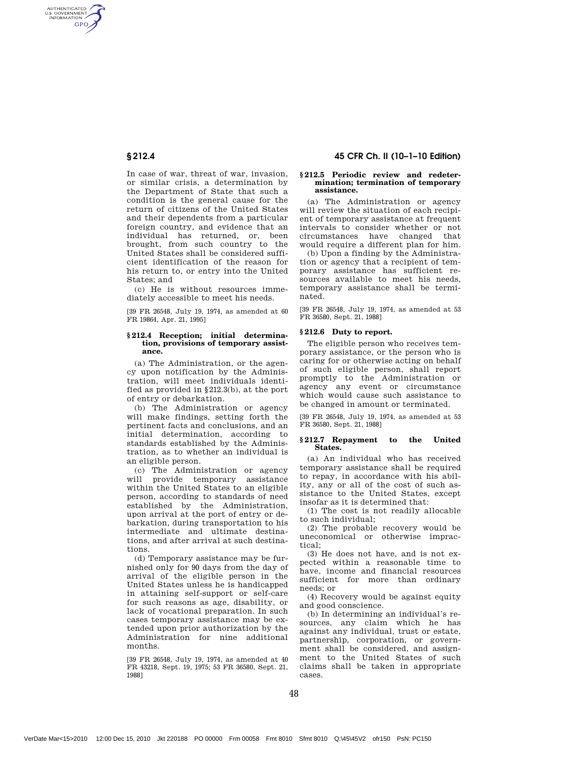AUTHENTICATED<br>U.S. GOVERNMENT<br>INFORMATION **GPO** 

> In case of war, threat of war, invasion, or similar crisis, a determination by the Department of State that such a condition is the general cause for the return of citizens of the United States and their dependents from a particular foreign country, and evidence that an individual has returned, or, been brought, from such country to the United States shall be considered sufficient identification of the reason for his return to, or entry into the United States; and

(c) He is without resources immediately accessible to meet his needs.

[39 FR 26548, July 19, 1974, as amended at 60 FR 19864, Apr. 21, 1995]

#### **§ 212.4 Reception; initial determination, provisions of temporary assistance.**

(a) The Administration, or the agency upon notification by the Administration, will meet individuals identified as provided in §212.3(b), at the port of entry or debarkation.

(b) The Administration or agency will make findings, setting forth the pertinent facts and conclusions, and an initial determination, according to standards established by the Administration, as to whether an individual is an eligible person.

(c) The Administration or agency will provide temporary assistance within the United States to an eligible person, according to standards of need established by the Administration, upon arrival at the port of entry or debarkation, during transportation to his intermediate and ultimate destinations, and after arrival at such destinations.

(d) Temporary assistance may be furnished only for 90 days from the day of arrival of the eligible person in the United States unless he is handicapped in attaining self-support or self-care for such reasons as age, disability, or lack of vocational preparation. In such cases temporary assistance may be extended upon prior authorization by the Administration for nine additional months.

[39 FR 26548, July 19, 1974, as amended at 40 FR 43218, Sept. 19, 1975; 53 FR 36580, Sept. 21, 1988]

# § 212.4 45 CFR Ch. II (10–1–10 Edition)

#### **§ 212.5 Periodic review and redetermination; termination of temporary assistance.**

(a) The Administration or agency will review the situation of each recipient of temporary assistance at frequent intervals to consider whether or not circumstances have changed that would require a different plan for him.

(b) Upon a finding by the Administration or agency that a recipient of temporary assistance has sufficient resources available to meet his needs, temporary assistance shall be terminated.

[39 FR 26548, July 19, 1974, as amended at 53 FR 36580, Sept. 21, 1988]

# **§ 212.6 Duty to report.**

The eligible person who receives temporary assistance, or the person who is caring for or otherwise acting on behalf of such eligible person, shall report promptly to the Administration or agency any event or circumstance which would cause such assistance to be changed in amount or terminated.

[39 FR 26548, July 19, 1974, as amended at 53 FR 36580, Sept. 21, 1988]

#### **§ 212.7 Repayment to the United States.**

(a) An individual who has received temporary assistance shall be required to repay, in accordance with his ability, any or all of the cost of such assistance to the United States, except insofar as it is determined that:

(1) The cost is not readily allocable to such individual;

(2) The probable recovery would be uneconomical or otherwise impractical;

(3) He does not have, and is not expected within a reasonable time to have, income and financial resources sufficient for more than ordinary needs; or

(4) Recovery would be against equity and good conscience.

(b) In determining an individual's resources, any claim which he has against any individual, trust or estate, partnership, corporation, or government shall be considered, and assignment to the United States of such claims shall be taken in appropriate cases.